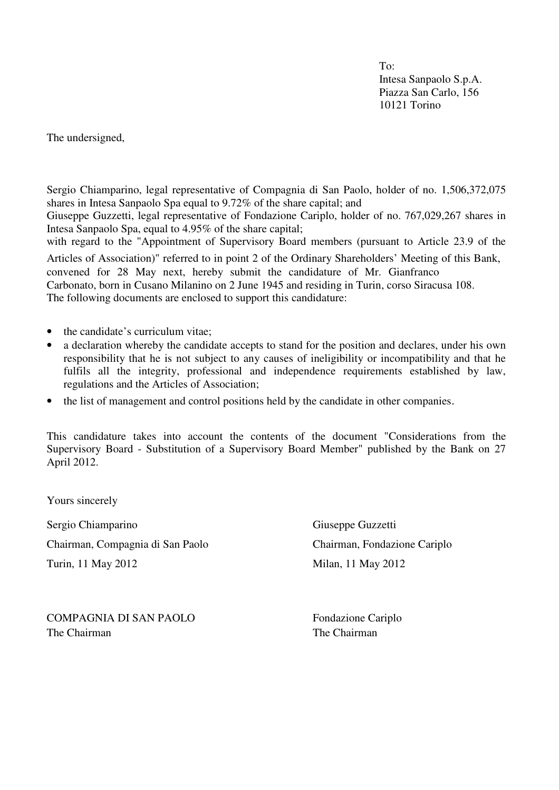To: Intesa Sanpaolo S.p.A. Piazza San Carlo, 156 10121 Torino

The undersigned,

Sergio Chiamparino, legal representative of Compagnia di San Paolo, holder of no. 1,506,372,075 shares in Intesa Sanpaolo Spa equal to 9.72% of the share capital; and

Giuseppe Guzzetti, legal representative of Fondazione Cariplo, holder of no. 767,029,267 shares in Intesa Sanpaolo Spa, equal to 4.95% of the share capital;

with regard to the "Appointment of Supervisory Board members (pursuant to Article 23.9 of the Articles of Association)" referred to in point 2 of the Ordinary Shareholders' Meeting of this Bank, convened for 28 May next, hereby submit the candidature of Mr. Gianfranco Carbonato, born in Cusano Milanino on 2 June 1945 and residing in Turin, corso Siracusa 108. The following documents are enclosed to support this candidature:

- the candidate's curriculum vitae:
- a declaration whereby the candidate accepts to stand for the position and declares, under his own responsibility that he is not subject to any causes of ineligibility or incompatibility and that he fulfils all the integrity, professional and independence requirements established by law, regulations and the Articles of Association;
- the list of management and control positions held by the candidate in other companies.

This candidature takes into account the contents of the document "Considerations from the Supervisory Board - Substitution of a Supervisory Board Member" published by the Bank on 27 April 2012.

Yours sincerely

Sergio Chiamparino Giuseppe Guzzetti Chairman, Compagnia di San Paolo Chairman, Fondazione Cariplo

Turin, 11 May 2012 Milan, 11 May 2012

COMPAGNIA DI SAN PAOLO<br>Fondazione Cariplo The Chairman The Chairman The Chairman The Chairman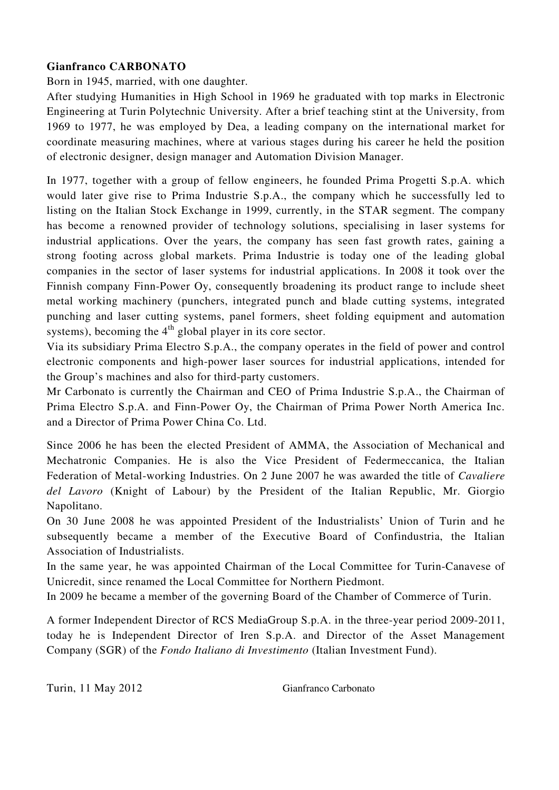# **Gianfranco CARBONATO**

Born in 1945, married, with one daughter.

After studying Humanities in High School in 1969 he graduated with top marks in Electronic Engineering at Turin Polytechnic University. After a brief teaching stint at the University, from 1969 to 1977, he was employed by Dea, a leading company on the international market for coordinate measuring machines, where at various stages during his career he held the position of electronic designer, design manager and Automation Division Manager.

In 1977, together with a group of fellow engineers, he founded Prima Progetti S.p.A. which would later give rise to Prima Industrie S.p.A., the company which he successfully led to listing on the Italian Stock Exchange in 1999, currently, in the STAR segment. The company has become a renowned provider of technology solutions, specialising in laser systems for industrial applications. Over the years, the company has seen fast growth rates, gaining a strong footing across global markets. Prima Industrie is today one of the leading global companies in the sector of laser systems for industrial applications. In 2008 it took over the Finnish company Finn-Power Oy, consequently broadening its product range to include sheet metal working machinery (punchers, integrated punch and blade cutting systems, integrated punching and laser cutting systems, panel formers, sheet folding equipment and automation systems), becoming the  $4<sup>th</sup>$  global player in its core sector.

Via its subsidiary Prima Electro S.p.A., the company operates in the field of power and control electronic components and high-power laser sources for industrial applications, intended for the Group's machines and also for third-party customers.

Mr Carbonato is currently the Chairman and CEO of Prima Industrie S.p.A., the Chairman of Prima Electro S.p.A. and Finn-Power Oy, the Chairman of Prima Power North America Inc. and a Director of Prima Power China Co. Ltd.

Since 2006 he has been the elected President of AMMA, the Association of Mechanical and Mechatronic Companies. He is also the Vice President of Federmeccanica, the Italian Federation of Metal-working Industries. On 2 June 2007 he was awarded the title of *Cavaliere del Lavoro* (Knight of Labour) by the President of the Italian Republic, Mr. Giorgio Napolitano.

On 30 June 2008 he was appointed President of the Industrialists' Union of Turin and he subsequently became a member of the Executive Board of Confindustria, the Italian Association of Industrialists.

In the same year, he was appointed Chairman of the Local Committee for Turin-Canavese of Unicredit, since renamed the Local Committee for Northern Piedmont.

In 2009 he became a member of the governing Board of the Chamber of Commerce of Turin.

A former Independent Director of RCS MediaGroup S.p.A. in the three-year period 2009-2011, today he is Independent Director of Iren S.p.A. and Director of the Asset Management Company (SGR) of the *Fondo Italiano di Investimento* (Italian Investment Fund).

Turin, 11 May 2012 Gianfranco Carbonato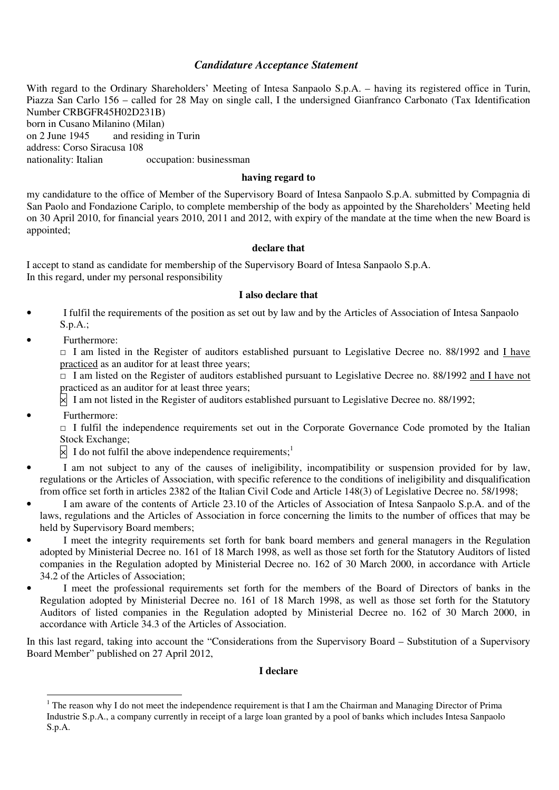## *Candidature Acceptance Statement*

With regard to the Ordinary Shareholders' Meeting of Intesa Sanpaolo S.p.A. – having its registered office in Turin, Piazza San Carlo 156 – called for 28 May on single call, I the undersigned Gianfranco Carbonato (Tax Identification Number CRBGFR45H02D231B) born in Cusano Milanino (Milan) on 2 June 1945 and residing in Turin address: Corso Siracusa 108 nationality: Italian occupation: businessman

## **having regard to**

my candidature to the office of Member of the Supervisory Board of Intesa Sanpaolo S.p.A. submitted by Compagnia di San Paolo and Fondazione Cariplo, to complete membership of the body as appointed by the Shareholders' Meeting held on 30 April 2010, for financial years 2010, 2011 and 2012, with expiry of the mandate at the time when the new Board is appointed;

### **declare that**

I accept to stand as candidate for membership of the Supervisory Board of Intesa Sanpaolo S.p.A. In this regard, under my personal responsibility

#### **I also declare that**

- I fulfil the requirements of the position as set out by law and by the Articles of Association of Intesa Sanpaolo S.p.A.;
- Furthermore:

□ I am listed in the Register of auditors established pursuant to Legislative Decree no. 88/1992 and I have practiced as an auditor for at least three years;

 $\Box$  I am listed on the Register of auditors established pursuant to Legislative Decree no. 88/1992 and I have not practiced as an auditor for at least three years;

 $\boxtimes$  I am not listed in the Register of auditors established pursuant to Legislative Decree no. 88/1992;

Furthermore:

 $\overline{a}$ 

 $\Box$  I fulfil the independence requirements set out in the Corporate Governance Code promoted by the Italian Stock Exchange;

 $\overline{\times}$  I do not fulfil the above independence requirements;<sup>1</sup>

- I am not subject to any of the causes of ineligibility, incompatibility or suspension provided for by law, regulations or the Articles of Association, with specific reference to the conditions of ineligibility and disqualification from office set forth in articles 2382 of the Italian Civil Code and Article 148(3) of Legislative Decree no. 58/1998;
- I am aware of the contents of Article 23.10 of the Articles of Association of Intesa Sanpaolo S.p.A. and of the laws, regulations and the Articles of Association in force concerning the limits to the number of offices that may be held by Supervisory Board members;
- I meet the integrity requirements set forth for bank board members and general managers in the Regulation adopted by Ministerial Decree no. 161 of 18 March 1998, as well as those set forth for the Statutory Auditors of listed companies in the Regulation adopted by Ministerial Decree no. 162 of 30 March 2000, in accordance with Article 34.2 of the Articles of Association;
- I meet the professional requirements set forth for the members of the Board of Directors of banks in the Regulation adopted by Ministerial Decree no. 161 of 18 March 1998, as well as those set forth for the Statutory Auditors of listed companies in the Regulation adopted by Ministerial Decree no. 162 of 30 March 2000, in accordance with Article 34.3 of the Articles of Association.

In this last regard, taking into account the "Considerations from the Supervisory Board – Substitution of a Supervisory Board Member" published on 27 April 2012,

### **I declare**

 $1$  The reason why I do not meet the independence requirement is that I am the Chairman and Managing Director of Prima Industrie S.p.A., a company currently in receipt of a large loan granted by a pool of banks which includes Intesa Sanpaolo S.p.A.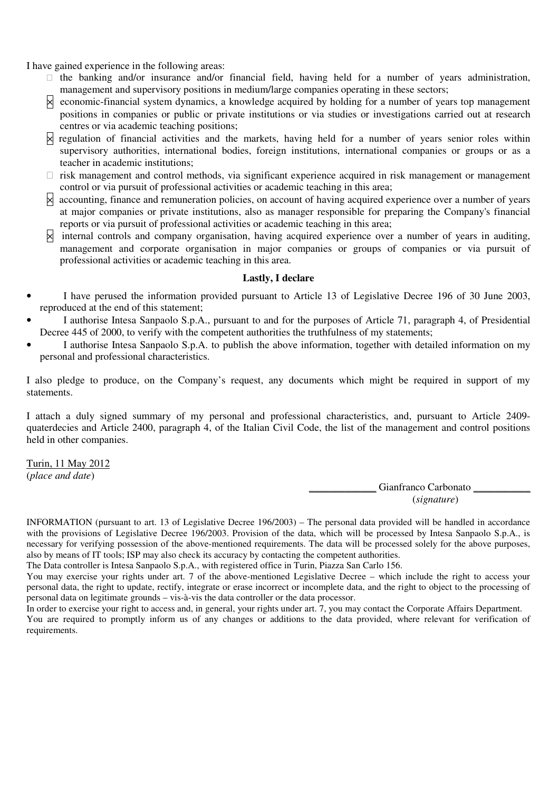I have gained experience in the following areas:

- the banking and/or insurance and/or financial field, having held for a number of years administration, management and supervisory positions in medium/large companies operating in these sectors;
- $\boxtimes$  economic-financial system dynamics, a knowledge acquired by holding for a number of years top management positions in companies or public or private institutions or via studies or investigations carried out at research centres or via academic teaching positions;
- $\boxtimes$  regulation of financial activities and the markets, having held for a number of years senior roles within supervisory authorities, international bodies, foreign institutions, international companies or groups or as a teacher in academic institutions;

 risk management and control methods, via significant experience acquired in risk management or management control or via pursuit of professional activities or academic teaching in this area;

- accounting, finance and remuneration policies, on account of having acquired experience over a number of years at major companies or private institutions, also as manager responsible for preparing the Company's financial reports or via pursuit of professional activities or academic teaching in this area;
- internal controls and company organisation, having acquired experience over a number of years in auditing, management and corporate organisation in major companies or groups of companies or via pursuit of professional activities or academic teaching in this area.

### **Lastly, I declare**

- I have perused the information provided pursuant to Article 13 of Legislative Decree 196 of 30 June 2003, reproduced at the end of this statement;
- I authorise Intesa Sanpaolo S.p.A., pursuant to and for the purposes of Article 71, paragraph 4, of Presidential Decree 445 of 2000, to verify with the competent authorities the truthfulness of my statements;
- I authorise Intesa Sanpaolo S.p.A. to publish the above information, together with detailed information on my personal and professional characteristics.

I also pledge to produce, on the Company's request, any documents which might be required in support of my statements.

I attach a duly signed summary of my personal and professional characteristics, and, pursuant to Article 2409 quaterdecies and Article 2400, paragraph 4, of the Italian Civil Code, the list of the management and control positions held in other companies.

Turin, 11 May 2012 (*place and date*)

Gianfranco Carbonato (*signature*)

INFORMATION (pursuant to art. 13 of Legislative Decree 196/2003) – The personal data provided will be handled in accordance with the provisions of Legislative Decree 196/2003. Provision of the data, which will be processed by Intesa Sanpaolo S.p.A., is necessary for verifying possession of the above-mentioned requirements. The data will be processed solely for the above purposes, also by means of IT tools; ISP may also check its accuracy by contacting the competent authorities.

The Data controller is Intesa Sanpaolo S.p.A., with registered office in Turin, Piazza San Carlo 156.

You may exercise your rights under art. 7 of the above-mentioned Legislative Decree – which include the right to access your personal data, the right to update, rectify, integrate or erase incorrect or incomplete data, and the right to object to the processing of personal data on legitimate grounds – vis-à-vis the data controller or the data processor.

In order to exercise your right to access and, in general, your rights under art. 7, you may contact the Corporate Affairs Department. You are required to promptly inform us of any changes or additions to the data provided, where relevant for verification of requirements.